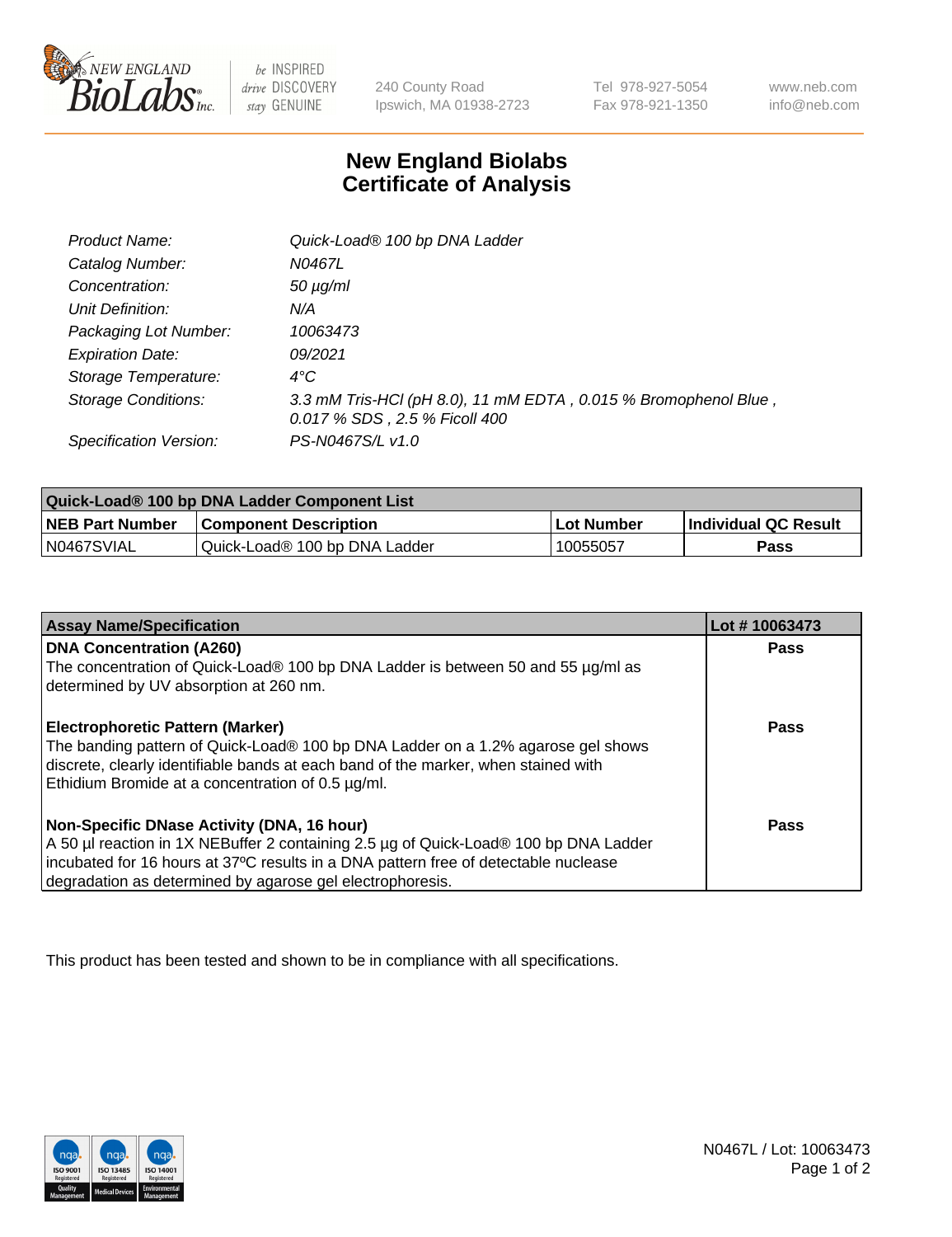

 $be$  INSPIRED drive DISCOVERY stay GENUINE

240 County Road Ipswich, MA 01938-2723 Tel 978-927-5054 Fax 978-921-1350 www.neb.com info@neb.com

## **New England Biolabs Certificate of Analysis**

| Product Name:              | Quick-Load® 100 bp DNA Ladder                                                                    |
|----------------------------|--------------------------------------------------------------------------------------------------|
| Catalog Number:            | N0467L                                                                                           |
| Concentration:             | $50 \mu g/ml$                                                                                    |
| Unit Definition:           | N/A                                                                                              |
| Packaging Lot Number:      | 10063473                                                                                         |
| <b>Expiration Date:</b>    | 09/2021                                                                                          |
| Storage Temperature:       | $4^{\circ}$ C                                                                                    |
| <b>Storage Conditions:</b> | 3.3 mM Tris-HCl (pH 8.0), 11 mM EDTA, 0.015 % Bromophenol Blue,<br>0.017 % SDS, 2.5 % Ficoll 400 |
| Specification Version:     | PS-N0467S/L v1.0                                                                                 |

| Quick-Load® 100 bp DNA Ladder Component List |                               |             |                             |  |
|----------------------------------------------|-------------------------------|-------------|-----------------------------|--|
| <b>NEB Part Number</b>                       | <b>Component Description</b>  | ⊥Lot Number | <b>Individual QC Result</b> |  |
| N0467SVIAL                                   | Quick-Load® 100 bp DNA Ladder | 10055057    | Pass                        |  |

| <b>Assay Name/Specification</b>                                                                                                                                                                                                                                                        | Lot #10063473 |
|----------------------------------------------------------------------------------------------------------------------------------------------------------------------------------------------------------------------------------------------------------------------------------------|---------------|
| <b>DNA Concentration (A260)</b><br>The concentration of Quick-Load® 100 bp DNA Ladder is between 50 and 55 µg/ml as<br>determined by UV absorption at 260 nm.                                                                                                                          | <b>Pass</b>   |
| Electrophoretic Pattern (Marker)<br>The banding pattern of Quick-Load® 100 bp DNA Ladder on a 1.2% agarose gel shows<br>discrete, clearly identifiable bands at each band of the marker, when stained with<br>Ethidium Bromide at a concentration of 0.5 µg/ml.                        | Pass          |
| Non-Specific DNase Activity (DNA, 16 hour)<br>A 50 µl reaction in 1X NEBuffer 2 containing 2.5 µg of Quick-Load® 100 bp DNA Ladder<br>incubated for 16 hours at 37°C results in a DNA pattern free of detectable nuclease<br>degradation as determined by agarose gel electrophoresis. | Pass          |

This product has been tested and shown to be in compliance with all specifications.